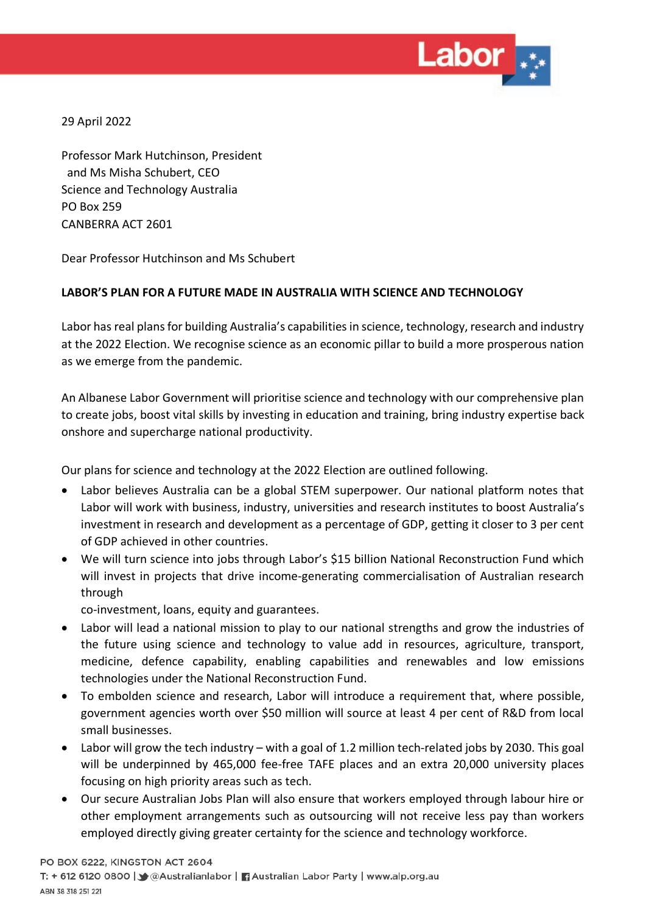

29 April 2022

Professor Mark Hutchinson, President and Ms Misha Schubert, CEO Science and Technology Australia PO Box 259 CANBERRA ACT 2601

Dear Professor Hutchinson and Ms Schubert

## **LABOR'S PLAN FOR A FUTURE MADE IN AUSTRALIA WITH SCIENCE AND TECHNOLOGY**

Labor has real plans for building Australia's capabilities in science, technology, research and industry at the 2022 Election. We recognise science as an economic pillar to build a more prosperous nation as we emerge from the pandemic.

An Albanese Labor Government will prioritise science and technology with our comprehensive plan to create jobs, boost vital skills by investing in education and training, bring industry expertise back onshore and supercharge national productivity.

Our plans for science and technology at the 2022 Election are outlined following.

- Labor believes Australia can be a global STEM superpower. Our national platform notes that Labor will work with business, industry, universities and research institutes to boost Australia's investment in research and development as a percentage of GDP, getting it closer to 3 per cent of GDP achieved in other countries.
- We will turn science into jobs through Labor's \$15 billion National Reconstruction Fund which will invest in projects that drive income-generating commercialisation of Australian research through

co-investment, loans, equity and guarantees.

- Labor will lead a national mission to play to our national strengths and grow the industries of the future using science and technology to value add in resources, agriculture, transport, medicine, defence capability, enabling capabilities and renewables and low emissions technologies under the National Reconstruction Fund.
- To embolden science and research, Labor will introduce a requirement that, where possible, government agencies worth over \$50 million will source at least 4 per cent of R&D from local small businesses.
- Labor will grow the tech industry with a goal of 1.2 million tech-related jobs by 2030. This goal will be underpinned by 465,000 fee-free TAFE places and an extra 20,000 university places focusing on high priority areas such as tech.
- Our secure Australian Jobs Plan will also ensure that workers employed through labour hire or other employment arrangements such as outsourcing will not receive less pay than workers employed directly giving greater certainty for the science and technology workforce.